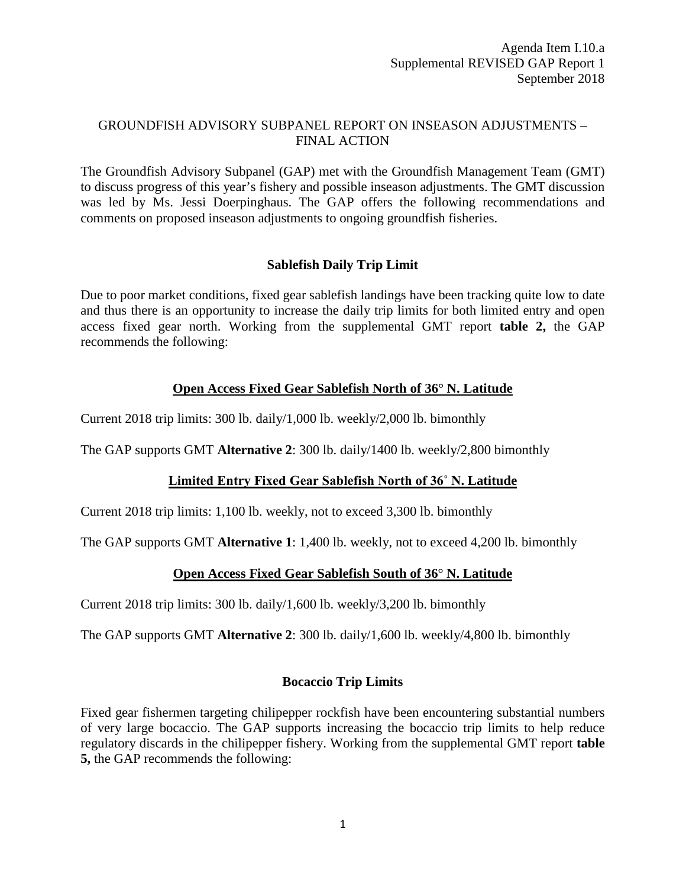## GROUNDFISH ADVISORY SUBPANEL REPORT ON INSEASON ADJUSTMENTS – FINAL ACTION

The Groundfish Advisory Subpanel (GAP) met with the Groundfish Management Team (GMT) to discuss progress of this year's fishery and possible inseason adjustments. The GMT discussion was led by Ms. Jessi Doerpinghaus. The GAP offers the following recommendations and comments on proposed inseason adjustments to ongoing groundfish fisheries.

## **Sablefish Daily Trip Limit**

Due to poor market conditions, fixed gear sablefish landings have been tracking quite low to date and thus there is an opportunity to increase the daily trip limits for both limited entry and open access fixed gear north. Working from the supplemental GMT report **table 2,** the GAP recommends the following:

# **Open Access Fixed Gear Sablefish North of 36° N. Latitude**

Current 2018 trip limits: 300 lb. daily/1,000 lb. weekly/2,000 lb. bimonthly

The GAP supports GMT **Alternative 2**: 300 lb. daily/1400 lb. weekly/2,800 bimonthly

# **Limited Entry Fixed Gear Sablefish North of 36˚ N. Latitude**

Current 2018 trip limits: 1,100 lb. weekly, not to exceed 3,300 lb. bimonthly

The GAP supports GMT **Alternative 1**: 1,400 lb. weekly, not to exceed 4,200 lb. bimonthly

# **Open Access Fixed Gear Sablefish South of 36° N. Latitude**

Current 2018 trip limits: 300 lb. daily/1,600 lb. weekly/3,200 lb. bimonthly

The GAP supports GMT **Alternative 2**: 300 lb. daily/1,600 lb. weekly/4,800 lb. bimonthly

## **Bocaccio Trip Limits**

Fixed gear fishermen targeting chilipepper rockfish have been encountering substantial numbers of very large bocaccio. The GAP supports increasing the bocaccio trip limits to help reduce regulatory discards in the chilipepper fishery. Working from the supplemental GMT report **table 5,** the GAP recommends the following: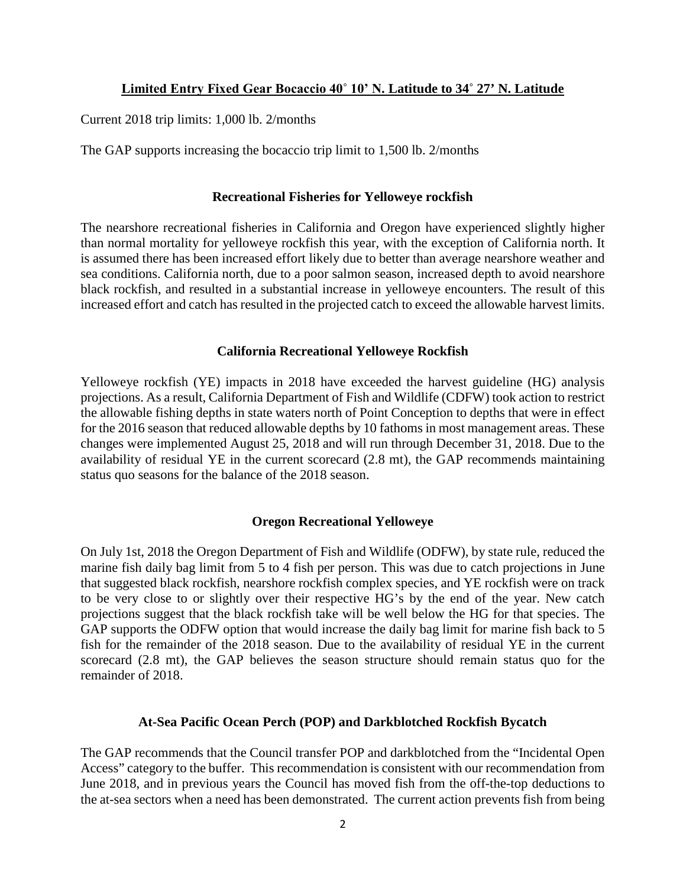#### **Limited Entry Fixed Gear Bocaccio 40˚ 10' N. Latitude to 34˚ 27' N. Latitude**

Current 2018 trip limits: 1,000 lb. 2/months

The GAP supports increasing the bocaccio trip limit to 1,500 lb. 2/months

#### **Recreational Fisheries for Yelloweye rockfish**

The nearshore recreational fisheries in California and Oregon have experienced slightly higher than normal mortality for yelloweye rockfish this year, with the exception of California north. It is assumed there has been increased effort likely due to better than average nearshore weather and sea conditions. California north, due to a poor salmon season, increased depth to avoid nearshore black rockfish, and resulted in a substantial increase in yelloweye encounters. The result of this increased effort and catch has resulted in the projected catch to exceed the allowable harvest limits.

#### **California Recreational Yelloweye Rockfish**

Yelloweye rockfish (YE) impacts in 2018 have exceeded the harvest guideline (HG) analysis projections. As a result, California Department of Fish and Wildlife (CDFW) took action to restrict the allowable fishing depths in state waters north of Point Conception to depths that were in effect for the 2016 season that reduced allowable depths by 10 fathoms in most management areas. These changes were implemented August 25, 2018 and will run through December 31, 2018. Due to the availability of residual YE in the current scorecard (2.8 mt), the GAP recommends maintaining status quo seasons for the balance of the 2018 season.

## **Oregon Recreational Yelloweye**

On July 1st, 2018 the Oregon Department of Fish and Wildlife (ODFW), by state rule, reduced the marine fish daily bag limit from 5 to 4 fish per person. This was due to catch projections in June that suggested black rockfish, nearshore rockfish complex species, and YE rockfish were on track to be very close to or slightly over their respective HG's by the end of the year. New catch projections suggest that the black rockfish take will be well below the HG for that species. The GAP supports the ODFW option that would increase the daily bag limit for marine fish back to 5 fish for the remainder of the 2018 season. Due to the availability of residual YE in the current scorecard (2.8 mt), the GAP believes the season structure should remain status quo for the remainder of 2018.

## **At-Sea Pacific Ocean Perch (POP) and Darkblotched Rockfish Bycatch**

The GAP recommends that the Council transfer POP and darkblotched from the "Incidental Open Access" category to the buffer. This recommendation is consistent with our recommendation from June 2018, and in previous years the Council has moved fish from the off-the-top deductions to the at-sea sectors when a need has been demonstrated. The current action prevents fish from being